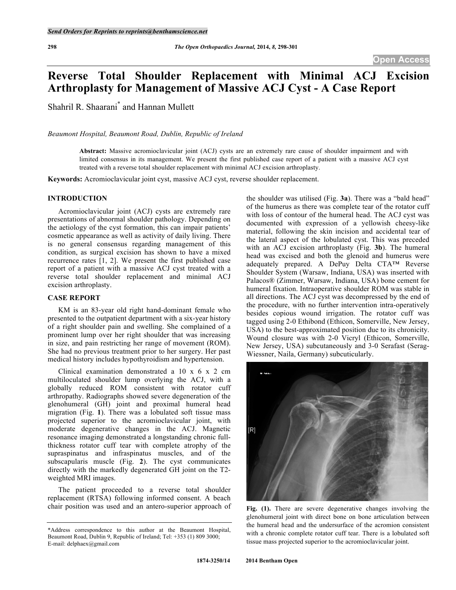# **Reverse Total Shoulder Replacement with Minimal ACJ Excision Arthroplasty for Management of Massive ACJ Cyst - A Case Report**

Shahril R. Shaarani\* and Hannan Mullett

*Beaumont Hospital, Beaumont Road, Dublin, Republic of Ireland*

**Abstract:** Massive acromioclavicular joint (ACJ) cysts are an extremely rare cause of shoulder impairment and with limited consensus in its management. We present the first published case report of a patient with a massive ACJ cyst treated with a reverse total shoulder replacement with minimal ACJ excision arthroplasty.

**Keywords:** Acromioclavicular joint cyst, massive ACJ cyst, reverse shoulder replacement.

#### **INTRODUCTION**

Acromioclavicular joint (ACJ) cysts are extremely rare presentations of abnormal shoulder pathology. Depending on the aetiology of the cyst formation, this can impair patients' cosmetic appearance as well as activity of daily living. There is no general consensus regarding management of this condition, as surgical excision has shown to have a mixed recurrence rates [1, 2]. We present the first published case report of a patient with a massive ACJ cyst treated with a reverse total shoulder replacement and minimal ACJ excision arthroplasty.

## **CASE REPORT**

KM is an 83-year old right hand-dominant female who presented to the outpatient department with a six-year history of a right shoulder pain and swelling. She complained of a prominent lump over her right shoulder that was increasing in size, and pain restricting her range of movement (ROM). She had no previous treatment prior to her surgery. Her past medical history includes hypothyroidism and hypertension.

Clinical examination demonstrated a 10 x 6 x 2 cm multiloculated shoulder lump overlying the ACJ, with a globally reduced ROM consistent with rotator cuff arthropathy. Radiographs showed severe degeneration of the glenohumeral (GH) joint and proximal humeral head migration (Fig. **1**). There was a lobulated soft tissue mass projected superior to the acromioclavicular joint, with moderate degenerative changes in the ACJ. Magnetic resonance imaging demonstrated a longstanding chronic fullthickness rotator cuff tear with complete atrophy of the supraspinatus and infraspinatus muscles, and of the subscapularis muscle (Fig. **2**). The cyst communicates directly with the markedly degenerated GH joint on the T2 weighted MRI images.

The patient proceeded to a reverse total shoulder replacement (RTSA) following informed consent. A beach chair position was used and an antero-superior approach of the shoulder was utilised (Fig. **3a**). There was a "bald head" of the humerus as there was complete tear of the rotator cuff with loss of contour of the humeral head. The ACJ cyst was documented with expression of a yellowish cheesy-like material, following the skin incision and accidental tear of the lateral aspect of the lobulated cyst. This was preceded with an ACJ excision arthroplasty (Fig. **3b**). The humeral head was excised and both the glenoid and humerus were adequately prepared. A DePuy Delta CTA™ Reverse Shoulder System (Warsaw, Indiana, USA) was inserted with Palacos® (Zimmer, Warsaw, Indiana, USA) bone cement for humeral fixation. Intraoperative shoulder ROM was stable in all directions. The ACJ cyst was decompressed by the end of the procedure, with no further intervention intra-operatively besides copious wound irrigation. The rotator cuff was tagged using 2-0 Ethibond (Ethicon, Somerville, New Jersey, USA) to the best-approximated position due to its chronicity. Wound closure was with 2-0 Vicryl (Ethicon, Somerville, New Jersey, USA) subcutaneously and 3-0 Serafast (Serag-Wiessner, Naila, Germany) subcuticularly.



**Fig. (1).** There are severe degenerative changes involving the glenohumeral joint with direct bone on bone articulation between the humeral head and the undersurface of the acromion consistent with a chronic complete rotator cuff tear. There is a lobulated soft tissue mass projected superior to the acromioclavicular joint.

<sup>\*</sup>Address correspondence to this author at the Beaumont Hospital, Beaumont Road, Dublin 9, Republic of Ireland; Tel: +353 (1) 809 3000; E-mail: delphaex@gmail.com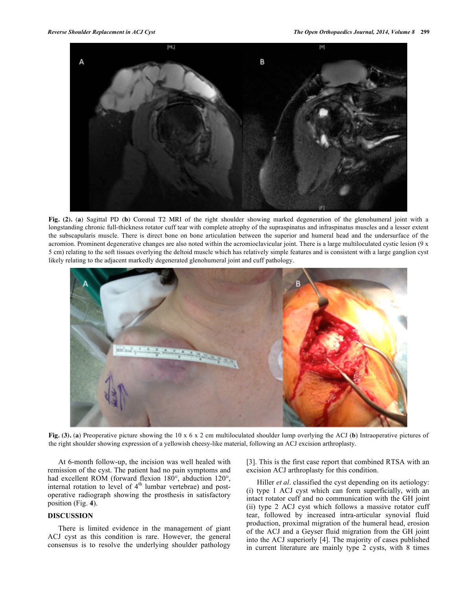

**Fig. (2).** (**a**) Sagittal PD (**b**) Coronal T2 MRI of the right shoulder showing marked degeneration of the glenohumeral joint with a longstanding chronic full-thickness rotator cuff tear with complete atrophy of the supraspinatus and infraspinatus muscles and a lesser extent the subscapularis muscle. There is direct bone on bone articulation between the superior and humeral head and the undersurface of the acromion. Prominent degenerative changes are also noted within the acromioclavicular joint. There is a large multiloculated cystic lesion (9 x 5 cm) relating to the soft tissues overlying the deltoid muscle which has relatively simple features and is consistent with a large ganglion cyst likely relating to the adjacent markedly degenerated glenohumeral joint and cuff pathology.



**Fig. (3).** (**a**) Preoperative picture showing the 10 x 6 x 2 cm multiloculated shoulder lump overlying the ACJ (**b**) Intraoperative pictures of the right shoulder showing expression of a yellowish cheesy-like material, following an ACJ excision arthroplasty.

At 6-month follow-up, the incision was well healed with remission of the cyst. The patient had no pain symptoms and had excellent ROM (forward flexion 180°, abduction 120°, internal rotation to level of  $4<sup>th</sup>$  lumbar vertebrae) and postoperative radiograph showing the prosthesis in satisfactory position (Fig. **4**).

# **DISCUSSION**

There is limited evidence in the management of giant ACJ cyst as this condition is rare. However, the general consensus is to resolve the underlying shoulder pathology

[3]. This is the first case report that combined RTSA with an excision ACJ arthroplasty for this condition.

Hiller *et al.* classified the cyst depending on its aetiology: (i) type 1 ACJ cyst which can form superficially, with an intact rotator cuff and no communication with the GH joint (ii) type 2 ACJ cyst which follows a massive rotator cuff tear, followed by increased intra-articular synovial fluid production, proximal migration of the humeral head, erosion of the ACJ and a Geyser fluid migration from the GH joint into the ACJ superiorly [4]. The majority of cases published in current literature are mainly type 2 cysts, with 8 times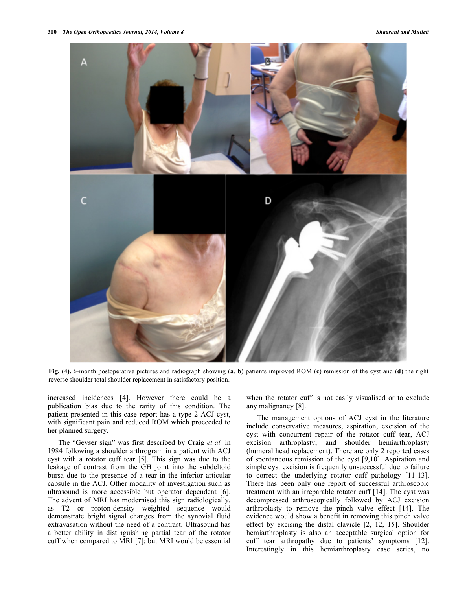

**Fig. (4).** 6-month postoperative pictures and radiograph showing (**a**, **b**) patients improved ROM (**c**) remission of the cyst and (**d**) the right reverse shoulder total shoulder replacement in satisfactory position.

increased incidences [4]. However there could be a publication bias due to the rarity of this condition. The patient presented in this case report has a type 2 ACJ cyst, with significant pain and reduced ROM which proceeded to her planned surgery.

The "Geyser sign" was first described by Craig *et al.* in 1984 following a shoulder arthrogram in a patient with ACJ cyst with a rotator cuff tear [5]. This sign was due to the leakage of contrast from the GH joint into the subdeltoid bursa due to the presence of a tear in the inferior articular capsule in the ACJ. Other modality of investigation such as ultrasound is more accessible but operator dependent [6]. The advent of MRI has modernised this sign radiologically, as T2 or proton-density weighted sequence would demonstrate bright signal changes from the synovial fluid extravasation without the need of a contrast. Ultrasound has a better ability in distinguishing partial tear of the rotator cuff when compared to MRI [7]; but MRI would be essential when the rotator cuff is not easily visualised or to exclude any malignancy [8].

The management options of ACJ cyst in the literature include conservative measures, aspiration, excision of the cyst with concurrent repair of the rotator cuff tear, ACJ excision arthroplasty, and shoulder hemiarthroplasty (humeral head replacement). There are only 2 reported cases of spontaneous remission of the cyst [9,10]. Aspiration and simple cyst excision is frequently unsuccessful due to failure to correct the underlying rotator cuff pathology [11-13]. There has been only one report of successful arthroscopic treatment with an irreparable rotator cuff [14]. The cyst was decompressed arthroscopically followed by ACJ excision arthroplasty to remove the pinch valve effect [14]. The evidence would show a benefit in removing this pinch valve effect by excising the distal clavicle [2, 12, 15]. Shoulder hemiarthroplasty is also an acceptable surgical option for cuff tear arthropathy due to patients' symptoms [12]. Interestingly in this hemiarthroplasty case series, no